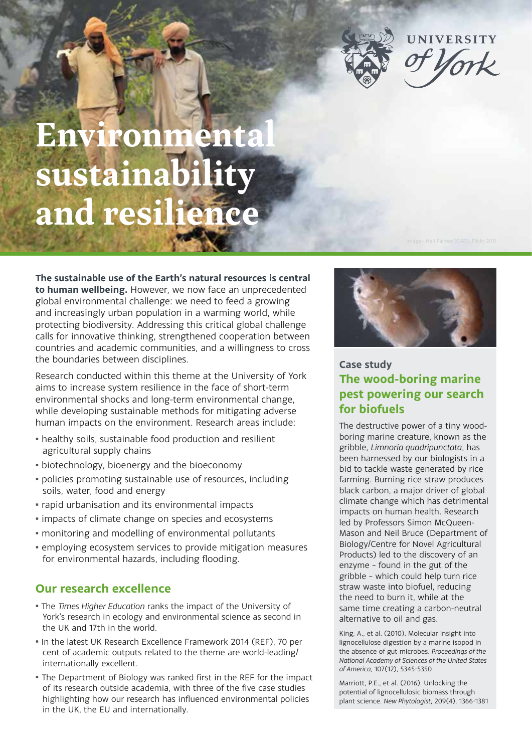

# **Environmenta** sustainabi **and resilience**

**The sustainable use of the Earth's natural resources is central to human wellbeing.** However, we now face an unprecedented global environmental challenge: we need to feed a growing and increasingly urban population in a warming world, while protecting biodiversity. Addressing this critical global challenge calls for innovative thinking, strengthened cooperation between countries and academic communities, and a willingness to cross the boundaries between disciplines.

Research conducted within this theme at the University of York aims to increase system resilience in the face of short-term environmental shocks and long-term environmental change, while developing sustainable methods for mitigating adverse human impacts on the environment. Research areas include:

- $\blacksquare$  healthy soils, sustainable food production and resilient agricultural supply chains
- **biotechnology, bioenergy and the bioeconomy**
- · policies promoting sustainable use of resources, including soils, water, food and energy
- rapid urbanisation and its environmental impacts
- **.** impacts of climate change on species and ecosystems
- monitoring and modelling of environmental pollutants
- **.** employing ecosystem services to provide mitigation measures for environmental hazards, including flooding.

## **Our research excellence**

- The *Times Higher Education* ranks the impact of the University of York's research in ecology and environmental science as second in the UK and 17th in the world.
- In the latest UK Research Excellence Framework 2014 (REF), 70 per cent of academic outputs related to the theme are world-leading/ internationally excellent.
- The Department of Biology was ranked first in the REF for the impact of its research outside academia, with three of the five case studies highlighting how our research has influenced environmental policies in the UK, the EU and internationally.



## **Case study The wood-boring marine pest powering our search for biofuels**

The destructive power of a tiny woodboring marine creature, known as the gribble, *Limnoria quadripunctata*, has been harnessed by our biologists in a bid to tackle waste generated by rice farming. Burning rice straw produces black carbon, a major driver of global climate change which has detrimental impacts on human health. Research led by Professors Simon McQueen-Mason and Neil Bruce (Department of Biology/Centre for Novel Agricultural Products) led to the discovery of an enzyme – found in the gut of the gribble – which could help turn rice straw waste into biofuel, reducing the need to burn it, while at the same time creating a carbon-neutral alternative to oil and gas.

King, A., et al. (2010). Molecular insight into lignocellulose digestion by a marine isopod in the absence of gut microbes. *Proceedings of the National Academy of Sciences of the United States of America,* 107(12), 5345-5350

Marriott, P.E., et al. (2016). Unlocking the potential of lignocellulosic biomass through plant science. *New Phytologist*, 209(4), 1366-1381